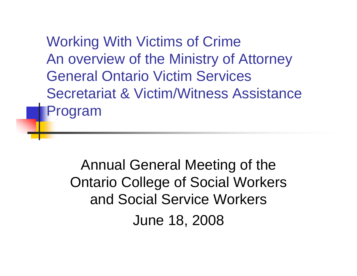Working With Victims of Crime An overview of the Ministry of Attorney General Ontario Victim Services Secretariat & Victim/Witness Assistance Program

Annual General Meeting of the Ontario College of Social Workers and Social Service Workers June 18, 2008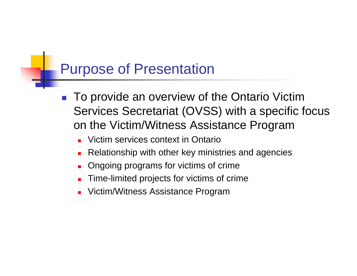### Purpose of Presentation

- F. To provide an overview of the Ontario Victim Services Secretariat (OVSS) with a specific focus on the Victim/Witness Assistance Program
	- П Victim services context in Ontario
	- П Relationship with other key ministries and agencies
	- ▉ Ongoing programs for victims of crime
	- П Time-limited projects for victims of crime
	- П Victim/Witness Assistance Program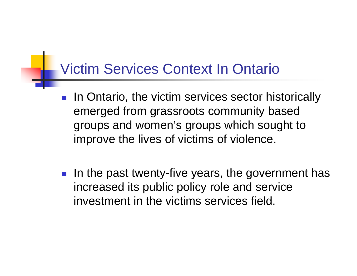### Victim Services Context In Ontario

- F. In Ontario, the victim services sector historically emerged from grassroots community based groups and women's groups which sought to improve the lives of victims of violence.
- $\|\cdot\|$  In the past twenty-five years, the government has increased its public policy role and service investment in the victims services field.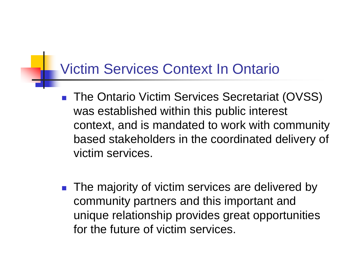### Victim Services Context In Ontario

- F. The Ontario Victim Services Secretariat (OVSS) was established within this public interest context, and is mandated to work with community based stakeholders in the coordinated delivery of victim services.
- **M**  The majority of victim services are delivered by community partners and this important and unique relationship provides great opportunities for the future of victim services.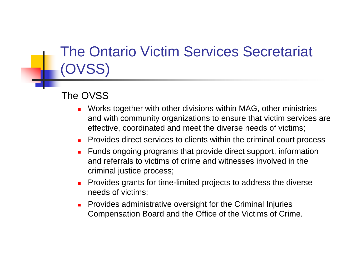## The Ontario Victim Services Secretariat (OVSS)

### The OVSS

- П Works together with other divisions within MAG, other ministries and with community organizations to ensure that victim services are effective, coordinated and meet the diverse needs of victims;
- П Provides direct services to clients within the criminal court process
- $\blacksquare$  Funds ongoing programs that provide direct support, information and referrals to victims of crime and witnesses involved in the criminal justice process;
- $\blacksquare$  Provides grants for time-limited projects to address the diverse needs of victims;
- $\blacksquare$  Provides administrative oversight for the Criminal Injuries Compensation Board and the Office of the Victims of Crime.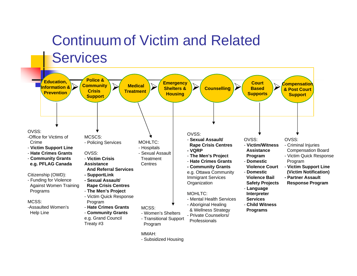# Continuum of Victim and Related **Services**

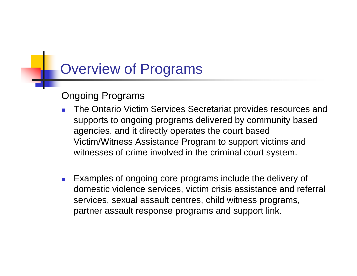### Overview of Programs

### Ongoing Programs

- The Ontario Victim Services Secretariat provides resources and supports to ongoing programs delivered by community based agencies, and it directly operates the court based Victim/Witness Assistance Program to support victims and witnesses of crime involved in the criminal court system.
- F. Examples of ongoing core programs include the delivery of domestic violence services, victim crisis assistance and referral services, sexual assault centres, child witness programs, partner assault response programs and support link.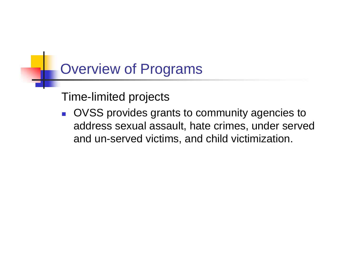### Overview of Programs

Time-limited projects

 $\overline{\phantom{a}}$  OVSS provides grants to community agencies to address sexual assault, hate crimes, under served and un-served victims, and child victimization.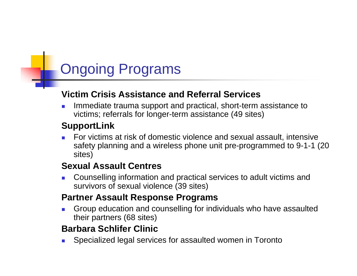# Ongoing Programs

#### **Victim Crisis Assistance and Referral Services**

П Immediate trauma support and practical, short-term assistance to victims; referrals for longer-term assistance (49 sites)

#### **SupportLink**

П For victims at risk of domestic violence and sexual assault, intensive safety planning and a wireless phone unit pre-programmed to 9-1-1 (20 sites)

#### **Sexual Assault Centres**

П Counselling information and practical services to adult victims and survivors of sexual violence (39 sites)

#### **Partner Assault Response Programs**

П Group education and counselling for individuals who have assaulted their partners (68 sites)

### **Barbara Schlifer Clinic**

П Specialized legal services for assaulted women in Toronto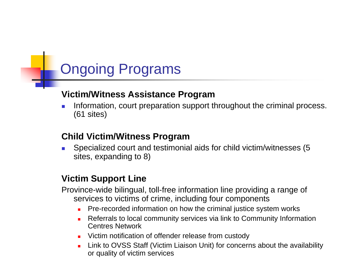### Ongoing Programs

#### **Victim/Witness Assistance Program**

П Information, court preparation support throughout the criminal process. (61 sites)

#### **Child Victim/Witness Program**

▉ Specialized court and testimonial aids for child victim/witnesses (5 sites, expanding to 8)

#### **Victim Support Line**

Province-wide bilingual, toll-free information line providing a range of services to victims of crime, including four components

- **Pre-recorded information on how the criminal justice system works**
- ٠ Referrals to local community services via link to Community Information Centres Network
- **URIGHT** Victim notification of offender release from custody
- $\blacksquare$  Link to OVSS Staff (Victim Liaison Unit) for concerns about the availability or quality of victim services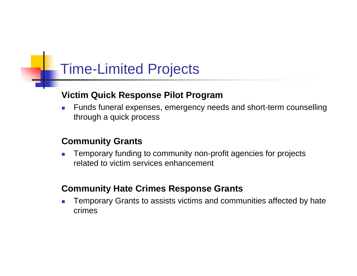### Time-Limited Projects

#### **Victim Quick Response Pilot Program**

 $\mathcal{L}_{\mathcal{A}}$  Funds funeral expenses, emergency needs and short-term counselling through a quick process

#### **Community Grants**

П Temporary funding to community non-profit agencies for projects related to victim services enhancement

#### **Community Hate Crimes Response Grants**

П Temporary Grants to assists victims and communities affected by hate crimes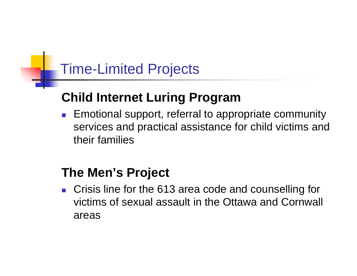### Time-Limited Projects

### **Child Internet Luring Program**

 $\overline{\phantom{a}}$  Emotional support, referral to appropriate community services and practical assistance for child victims and their families

### **The Men's Project**

 $\overline{\phantom{a}}$  Crisis line for the 613 area code and counselling for victims of sexual assault in the Ottawa and Cornwall areas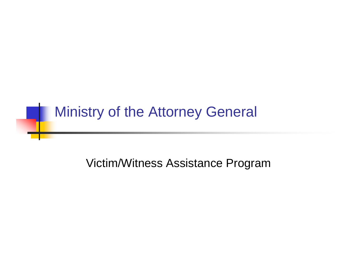### Ministry of the Attorney General

Victim/Witness Assistance Program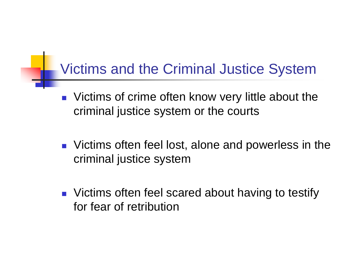### Victims and the Criminal Justice System

- $\mathbb{R}^n$  Victims of crime often know very little about the criminal justice system or the courts
- **U** Victims often feel lost, alone and powerless in the criminal justice system
- **Number 19 Theory Contains of the Scared about having to testify** for fear of retribution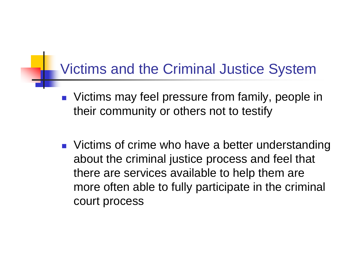### Victims and the Criminal Justice System

- $\mathcal{L}_{\text{max}}$  Victims may feel pressure from family, people in their community or others not to testify
- **Numangle 1 Stube 1 Stube 1 Stube 1 Stube 1 Stube 1 Stube 1 Stube 1 Stube 1 Stube 1 Stube 1 Stube 1 Stube 1 Stube 1 Stube 1 Stube 1 Stube 1 Stube 1 Stube 1 Stube 1 Stube 1 Stube 1 Stube 1 Stube 1 Stube 1 Stube 1 Stube 1 St** about the criminal justice process and feel that there are services available to help them are more often able to fully participate in the criminal court process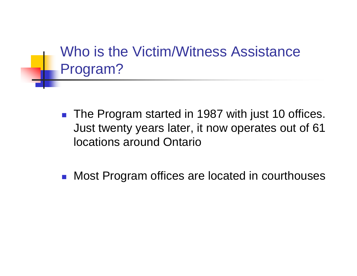Who is the Victim/Witness Assistance Program?

- The Program started in 1987 with just 10 offices. Just twenty years later, it now operates out of 61 locations around Ontario
- $\overline{\mathbb{R}^n}$ Most Program offices are located in courthouses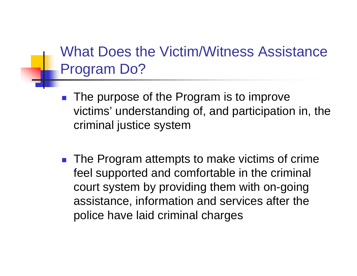### What Does the Victim/Witness Assistance Program Do?

- P. The purpose of the Program is to improve victims' understanding of, and participation in, the criminal justice system
- $\mathcal{L}_{\text{max}}$  The Program attempts to make victims of crime feel supported and comfortable in the criminal court system by providing them with on-going assistance, information and services after the police have laid criminal charges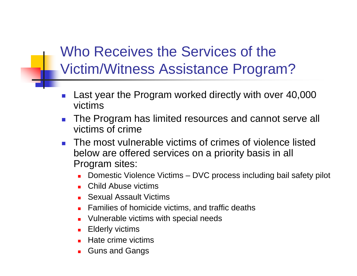# Who Receives the Services of the Victim/Witness Assistance Program?

- P. Last year the Program worked directly with over 40,000 victims
- $\mathcal{L}^{\mathcal{A}}$  The Program has limited resources and cannot serve all victims of crime
- **The most vulnerable victims of crimes of violence listed** below are offered services on a priority basis in all Program sites:
	- Domestic Violence Victims DVC process including bail safety pilot
	- П Child Abuse victims
	- **Sexual Assault Victims**
	- П Families of homicide victims, and traffic deaths
	- П Vulnerable victims with special needs
	- $\blacksquare$ Elderly victims
	- П Hate crime victims
	- П Guns and Gangs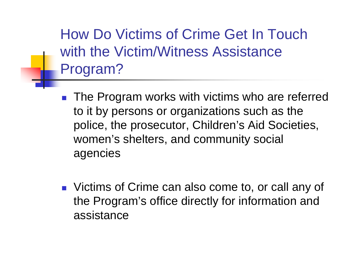How Do Victims of Crime Get In Touch with the Victim/Witness Assistance Program?

- $\begin{bmatrix} 1 & 1 \\ 1 & 1 \end{bmatrix}$  The Program works with victims who are referred to it by persons or organizations such as the police, the prosecutor, Children's Aid Societies, women's shelters, and community social agencies
- **U** Victims of Crime can also come to, or call any of the Program's office directly for information and assistance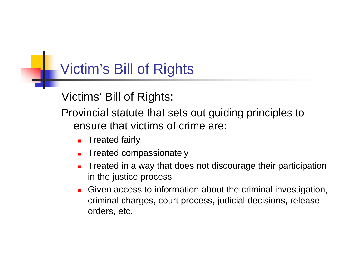## Victim's Bill of Rights

Victims' Bill of Rights:

Provincial statute that sets out guiding principles to ensure that victims of crime are:

- **Treated fairly**
- П Treated compassionately
- u Treated in a way that does not discourage their participation in the justice process
- П Given access to information about the criminal investigation, criminal charges, court process, judicial decisions, release orders, etc.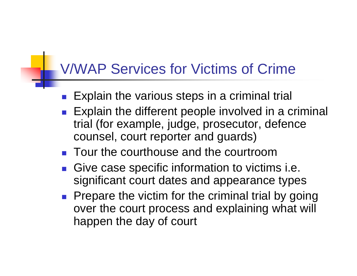### V/WAP Services for Victims of Crime

- **M** Explain the various steps in a criminal trial
- Explain the different people involved in a criminal trial (for example, judge, prosecutor, defence counsel, court reporter and guards)
- **Tour the courthouse and the courtroom**
- Give case specific information to victims i.e. significant court dates and appearance types
- Prepare the victim for the criminal trial by going over the court process and explaining what will happen the day of court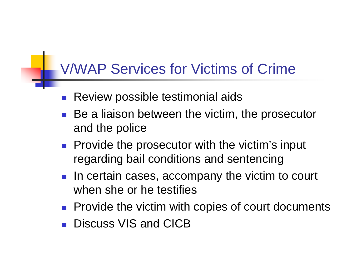### V/WAP Services for Victims of Crime

- P. Review possible testimonial aids
- Be a liaison between the victim, the prosecutor and the police
- **Provide the prosecutor with the victim's input** regarding bail conditions and sentencing
- **IF In certain cases, accompany the victim to court** when she or he testifies
- **Provide the victim with copies of court documents**
- P. Discuss VIS and CICB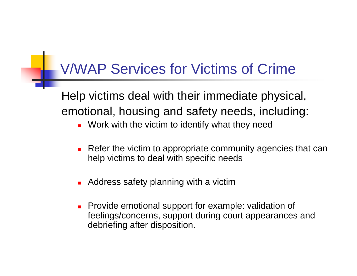### V/WAP Services for Victims of Crime

Help victims deal with their immediate physical, emotional, housing and safety needs, including:

- **DED Work with the victim to identify what they need**
- $\mathcal{L}_{\mathcal{A}}$  Refer the victim to appropriate community agencies that can help victims to deal with specific needs
- **Address safety planning with a victim**
- **Provide emotional support for example: validation of** feelings/concerns, support during court appearances and debriefing after disposition.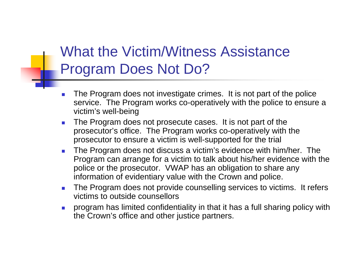## What the Victim/Witness Assistance Program Does Not Do?

- $\overline{\mathbb{R}^n}$  The Program does not investigate crimes. It is not part of the police service. The Program works co-operatively with the police to ensure a victim's well-being
- $\mathcal{L}_{\mathrm{eff}}$  The Program does not prosecute cases. It is not part of the prosecutor's office. The Program works co-operatively with the prosecutor to ensure a victim is well-supported for the trial
- $\mathcal{L}_{\text{max}}$  The Program does not discuss a victim's evidence with him/her. The Program can arrange for a victim to talk about his/her evidence with the police or the prosecutor. VWAP has an obligation to share any information of evidentiary value with the Crown and police.
- $\mathcal{L}_{\mathcal{A}}$  The Program does not provide counselling services to victims. It refers victims to outside counsellors
- $\mathcal{L}_{\mathcal{A}}$  program has limited confidentiality in that it has a full sharing policy with the Crown's office and other justice partners.